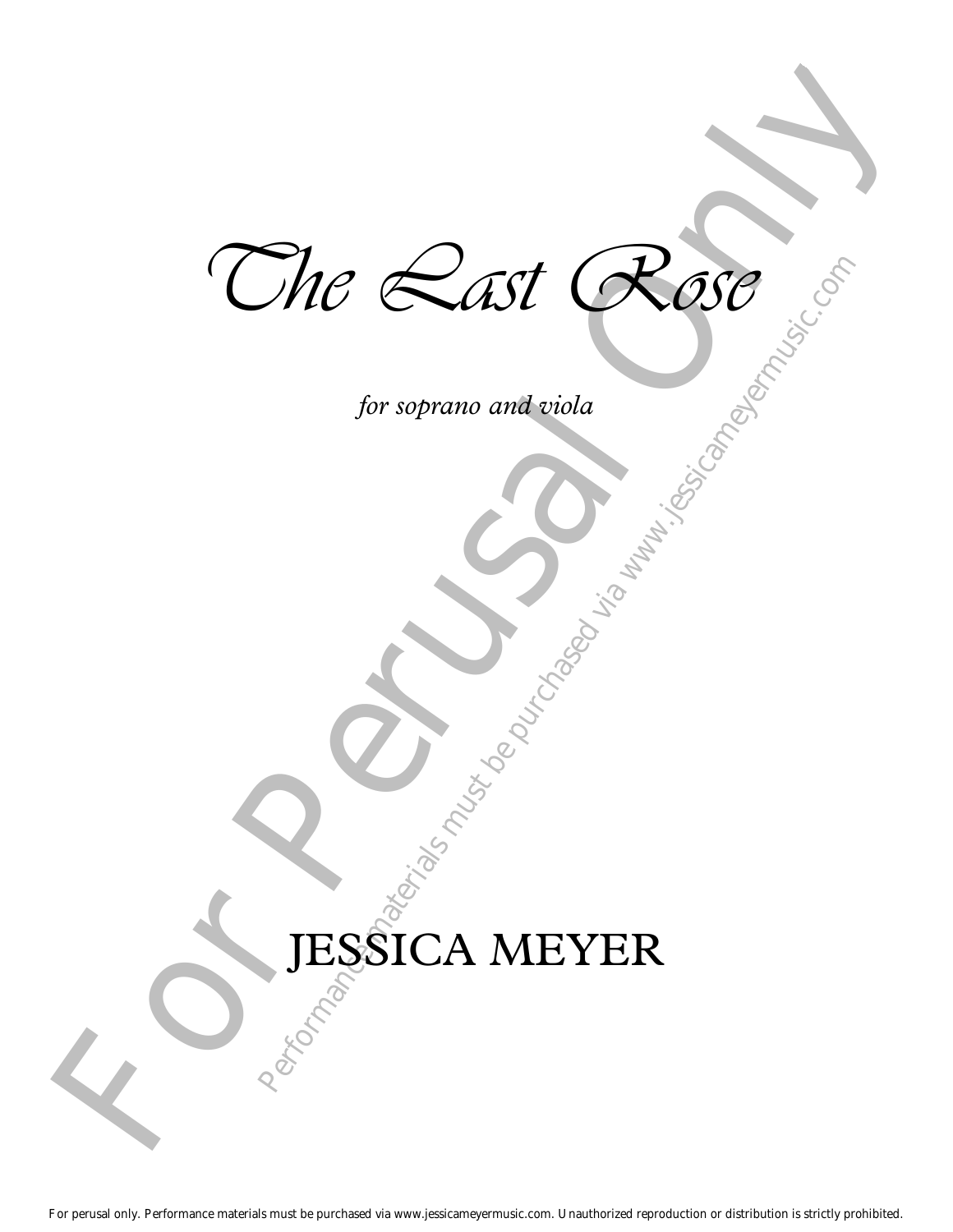$\mathcal{L}_{\text{for sorano and viola}}$ <br>  $\text{JESSICA MEYER}$ Rose of The Last Rose

for soprano and viola

## for soprano and viola JESSICA MEYER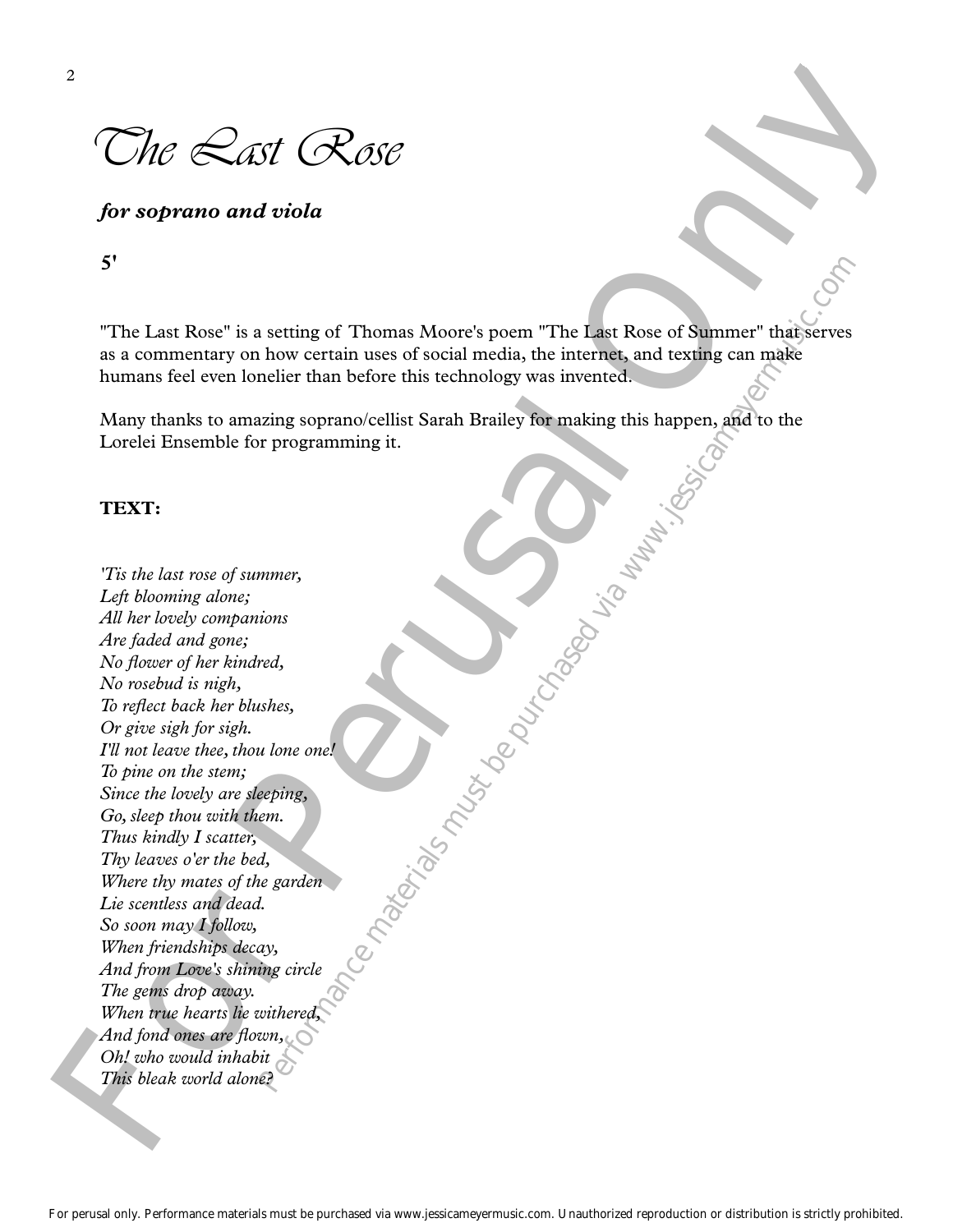The *Rast* Rose

*for soprano and viola*

**5'**

"The Last Rose" is a setting of Thomas Moore's poem "The Last Rose of Summer" that serves as a commentary on how certain uses of social media, the internet, and texting can make humans feel even lonelier than before this technology was invented.

Many thanks to amazing soprano/cellist Sarah Brailey for making this happen, and to the Lorelei Ensemble for programming it.

## **TEXT:**

**Partonials music materials materials materials materials incomparished via developeration of the incomparished via** 2<br>
The scaling and violation of the metric of the set of such that the scaling of the set of scaling of the set of scaling and the set of scaling and the set of scaling and the set of scaling and the set of scaling term i *'Tis the last rose of summer, Left blooming alone; All her lovely companions Are faded and gone; No flower of her kindred, No rosebud is nigh, To reflect back her blushes, Or give sigh for sigh. I'll not leave thee, thou lone one! To pine on the stem; Since the lovely are sleeping, Go, sleep thou with them. Thus kindly I scatter, Thy leaves o'er the bed, Where thy mates of the garden Lie scentless and dead. So soon may I follow, When friendships decay, And from Love's shining circle The gems drop away. When true hearts lie withered, And fond ones are flown, Oh! who would inhabit This bleak world alone?*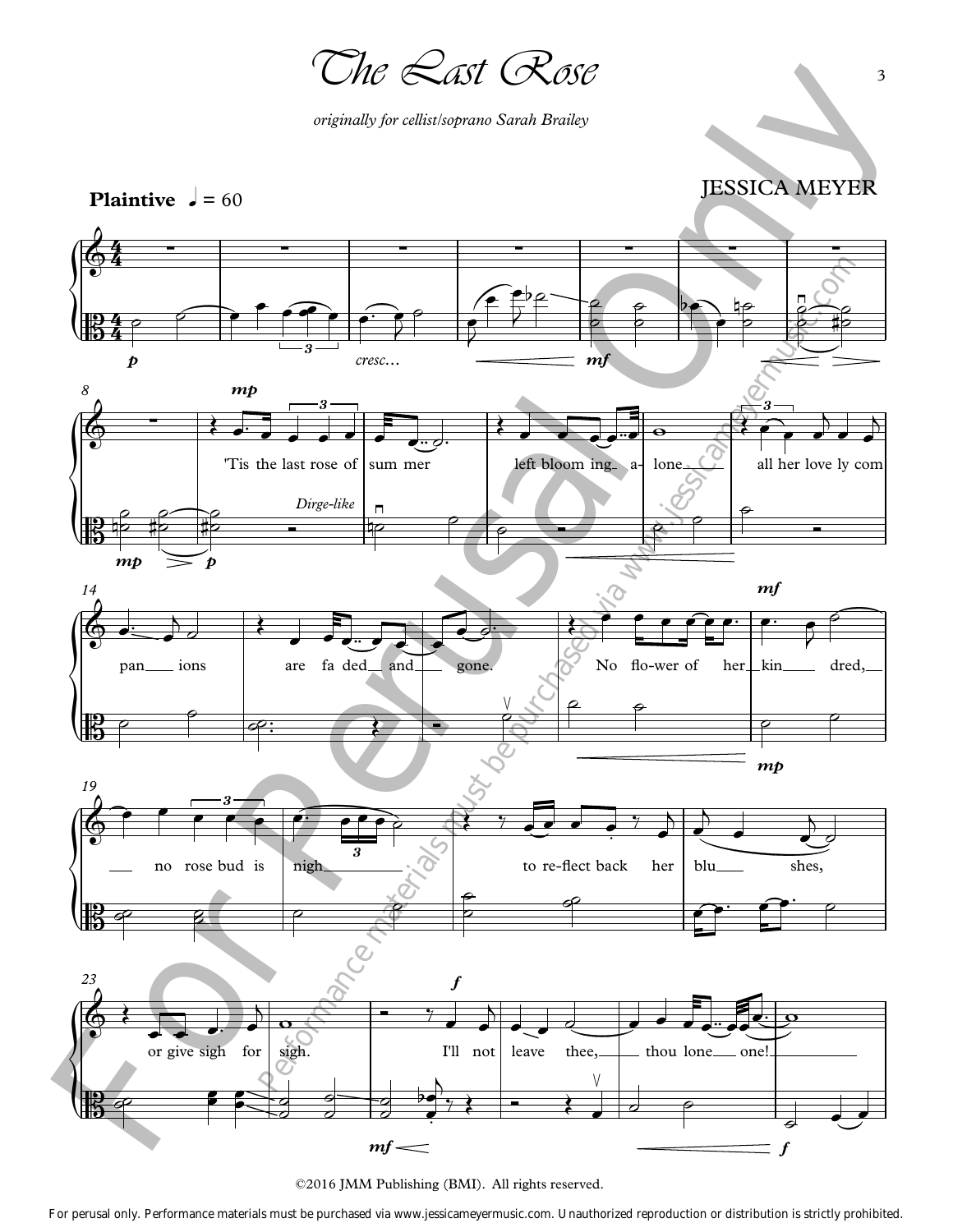The Last Rose

*originally for cellist/soprano Sarah Brailey*

JESSICA MEYER





For perusal only. Performance materials must be purchased via www.jessicameyermusic.com. Unauthorized reproduction or distribution is strictly prohibited.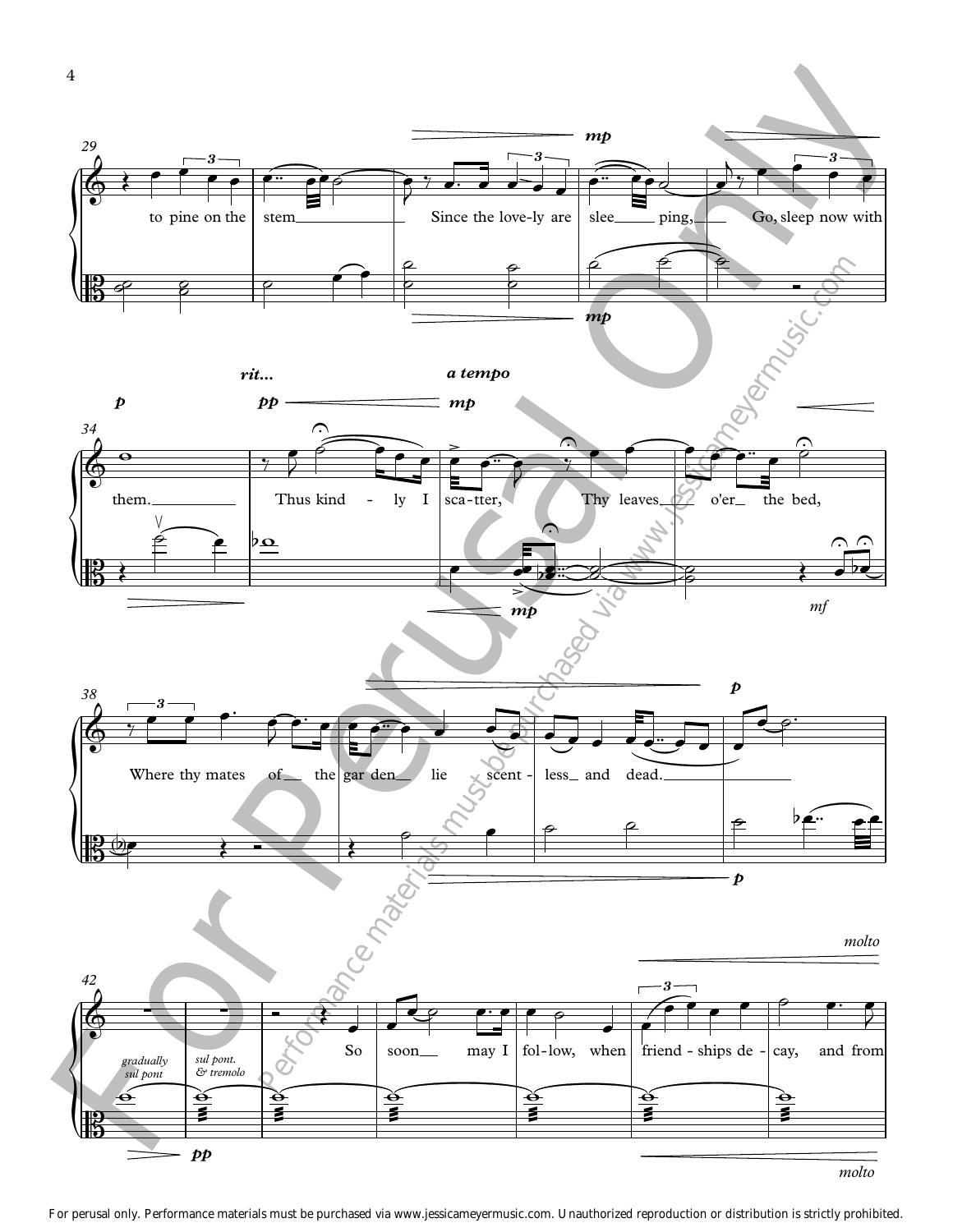

For perusal only. Performance materials must be purchased via www.jessicameyermusic.com. Unauthorized reproduction or distribution is strictly prohibited.